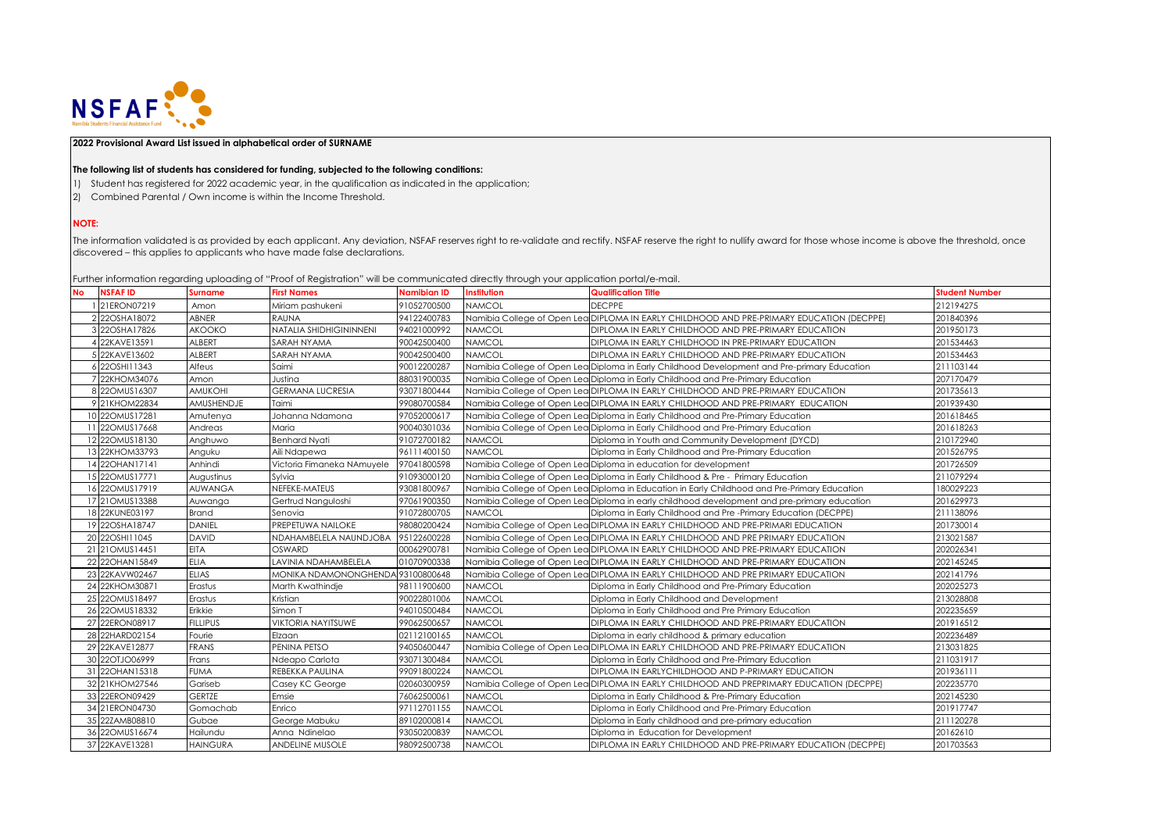

## **2022 Provisional Award List issued in alphabetical order of SURNAME**

## **The following list of students has considered for funding, subjected to the following conditions:**

- 1) Student has registered for 2022 academic year, in the qualification as indicated in the application;
- 2) Combined Parental / Own income is within the Income Threshold.

## **NOTE:**

The information validated is as provided by each applicant. Any deviation, NSFAF reserves right to re-validate and rectify. NSFAF reserve the right to nullify award for those whose income is above the threshold, once discovered – this applies to applicants who have made false declarations.

Further information regarding uploading of "Proof of Registration" will be communicated directly through your application portal/e-mail.

| <b>NSFAFID</b><br>No | Surname         | <b>First Names</b>                | <b>Namibian ID</b> | <b>Institution</b> | <b>Qualification Title</b>                                                                    | <b>Student Number</b> |
|----------------------|-----------------|-----------------------------------|--------------------|--------------------|-----------------------------------------------------------------------------------------------|-----------------------|
| 21ERON07219          | Amon            | Miriam pashukeni                  | 91052700500        | <b>NAMCOL</b>      | <b>DECPPE</b>                                                                                 | 212194275             |
| 2 22OSHA18072        | ABNER           | <b>RAUNA</b>                      | 94122400783        |                    | Namibia College of Open Lea DIPLOMA IN EARLY CHILDHOOD AND PRE-PRIMARY EDUCATION (DECPPE)     | 201840396             |
| 3 22OSHA17826        | <b>AKOOKO</b>   | NATALIA SHIDHIGININNENI           | 94021000992        | <b>NAMCOL</b>      | DIPLOMA IN EARLY CHILDHOOD AND PRE-PRIMARY EDUCATION                                          | 201950173             |
| 4 22KAVE13591        | ALBERT          | SARAH NYAMA                       | 90042500400        | <b>NAMCOL</b>      | DIPLOMA IN EARLY CHILDHOOD IN PRE-PRIMARY EDUCATION                                           | 201534463             |
| 5 22KAVE13602        | ALBERT          | SARAH NYAMA                       | 90042500400        | <b>NAMCOL</b>      | DIPLOMA IN EARLY CHILDHOOD AND PRE-PRIMARY EDUCATION                                          | 201534463             |
| 6 22OSHI11343        | Alfeus          | Saimi                             | 90012200287        |                    | Namibia College of Open Lea Diploma in Early Childhood Development and Pre-primary Education  | 211103144             |
| 22KHOM34076          | Amon            | Justina                           | 88031900035        |                    | Namibia College of Open Lea Diploma in Early Childhood and Pre-Primary Education              | 207170479             |
| 8 220MUS16307        | <b>AMUKOHI</b>  | <b>GERMANA LUCRESIA</b>           | 93071800444        |                    | Namibia College of Open Lea DIPLOMA IN EARLY CHILDHOOD AND PRE-PRIMARY EDUCATION              | 201735613             |
| 9 21KHOM22834        | AMUSHENDJE      | Taimi                             | 99080700584        |                    | Namibia College of Open Lea DIPLOMA IN EARLY CHILDHOOD AND PRE-PRIMARY EDUCATION              | 201939430             |
| 10 220MUS17281       | Amutenya        | Johanna Ndamona                   | 97052000617        |                    | Namibia College of Open Lea Diploma in Early Childhood and Pre-Primary Education              | 201618465             |
| 11 220MUS17668       | Andreas         | Maria                             | 90040301036        |                    | Namibia College of Open Lea Diploma in Early Childhood and Pre-Primary Education              | 201618263             |
| 12 220MUS18130       | Anghuwo         | <b>Benhard Nyati</b>              | 91072700182        | <b>NAMCOL</b>      | Diploma in Youth and Community Development (DYCD)                                             | 210172940             |
| 13 22KHOM33793       | Anguku          | Aili Ndapewa                      | 96111400150        | <b>NAMCOL</b>      | Diploma in Early Childhood and Pre-Primary Education                                          | 201526795             |
| 14 22OHAN17141       | Anhindi         | Victoria Fimaneka NAmuyele        | 97041800598        |                    | Namibia College of Open Lea Diploma in education for development                              | 201726509             |
| 15 220MUS17771       | Augustinus      | Sylvia                            | 91093000120        |                    | Namibia College of Open Lea Diploma in Early Childhood & Pre - Primary Education              | 211079294             |
| 16 220MUS17919       | <b>AUWANGA</b>  | NEFEKE-MATEUS                     | 93081800967        |                    | Namibia College of Open Lea Diploma in Education in Early Childhood and Pre-Primary Education | 180029223             |
| 17 21 OMUS13388      | Auwanga         | Gertrud Nanguloshi                | 97061900350        |                    | Namibia College of Open Lea Diploma in early childhood development and pre-primary education  | 201629973             |
| 18 22KUNE03197       | <b>Brand</b>    | Senovia                           | 91072800705        | <b>NAMCOL</b>      | Diploma in Early Childhood and Pre-Primary Education (DECPPE)                                 | 211138096             |
| 19 22OSHA18747       | <b>DANIEL</b>   | PREPETUWA NAILOKE                 | 98080200424        |                    | Namibia College of Open Lea DIPLOMA IN EARLY CHILDHOOD AND PRE-PRIMARI EDUCATION              | 201730014             |
| 20 22OSHI11045       | <b>DAVID</b>    | NDAHAMBELELA NAUNDJOBA            | 95122600228        |                    | Namibia College of Open Lea DIPLOMA IN EARLY CHILDHOOD AND PRE PRIMARY EDUCATION              | 213021587             |
| 21 21 OMUS14451      | <b>EITA</b>     | OSWARD                            | 00062900781        |                    | Namibia College of Open Lea DIPLOMA IN EARLY CHILDHOOD AND PRE-PRIMARY EDUCATION              | 202026341             |
| 22 22 OHAN 15849     | ELIA            | LAVINIA NDAHAMBELELA              | 01070900338        |                    | Namibia College of Open Lea DIPLOMA IN EARLY CHILDHOOD AND PRE-PRIMARY EDUCATION              | 202145245             |
| 23 22KAVW02467       | <b>ELIAS</b>    | MONIKA NDAMONONGHENDA 93100800648 |                    |                    | Namibia College of Open Lea DIPLOMA IN EARLY CHILDHOOD AND PRE PRIMARY EDUCATION              | 202141796             |
| 24 22KHOM30871       | Erastus         | Marth Kwathindje                  | 98111900600        | <b>NAMCOL</b>      | Diploma in Early Childhood and Pre-Primary Education                                          | 202025273             |
| 25 22 OMUS 18497     | Erastus         | Kristian                          | 90022801006        | <b>NAMCOL</b>      | Diploma in Early Childhood and Development                                                    | 213028808             |
| 26 22OMUS18332       | Erikkie         | Simon T                           | 94010500484        | <b>NAMCOL</b>      | Diploma in Early Childhood and Pre Primary Education                                          | 202235659             |
| 27 22ERON08917       | <b>FILLIPUS</b> | <b>VIKTORIA NAYITSUWE</b>         | 99062500657        | <b>NAMCOL</b>      | DIPLOMA IN EARLY CHILDHOOD AND PRE-PRIMARY EDUCATION                                          | 201916512             |
| 28 22HARD02154       | Fourie          | Elzaan                            | 02112100165        | <b>NAMCOL</b>      | Diploma in early childhood & primary education                                                | 202236489             |
| 29 22KAVE12877       | <b>FRANS</b>    | PENINA PETSO                      | 94050600447        |                    | Namibia College of Open Lea DIPLOMA IN EARLY CHILDHOOD AND PRE-PRIMARY EDUCATION              | 213031825             |
| 30 22OTJO06999       | Frans           | Ndeapo Carlota                    | 93071300484        | <b>NAMCOL</b>      | Diploma in Early Childhood and Pre-Primary Education                                          | 211031917             |
| 31 22OHAN15318       | <b>FUMA</b>     | REBEKKA PAULINA                   | 99091800224        | <b>NAMCOL</b>      | DIPLOMA IN EARLYCHILDHOOD AND P-PRIMARY EDUCATION                                             | 201936111             |
| 32 21KHOM27546       | Gariseb         | Casey KC George                   | 02060300959        |                    | Namibia College of Open Lea DIPLOMA IN EARLY CHILDHOOD AND PREPRIMARY EDUCATION (DECPPE)      | 202235770             |
| 33 22ERON09429       | <b>GERTZE</b>   | Emsie                             | 76062500061        | <b>NAMCOL</b>      | Diploma in Early Childhood & Pre-Primary Education                                            | 202145230             |
| 34 21 ERON04730      | Gomachab        | Enrico                            | 97112701155        | <b>NAMCOL</b>      | Diploma in Early Childhood and Pre-Primary Education                                          | 201917747             |
| 35 22ZAMB08810       | Gubae           | George Mabuku                     | 89102000814        | <b>NAMCOL</b>      | Diploma in Early childhood and pre-primary education                                          | 211120278             |
| 36 220MUS16674       | Hailundu        | Anna Ndinelao                     | 93050200839        | <b>NAMCOL</b>      | Diploma in Education for Development                                                          | 20162610              |
| 37 22KAVE13281       | <b>HAINGURA</b> | <b>ANDELINE MUSOLE</b>            | 98092500738        | <b>NAMCOL</b>      | DIPLOMA IN EARLY CHILDHOOD AND PRE-PRIMARY EDUCATION (DECPPE)                                 | 201703563             |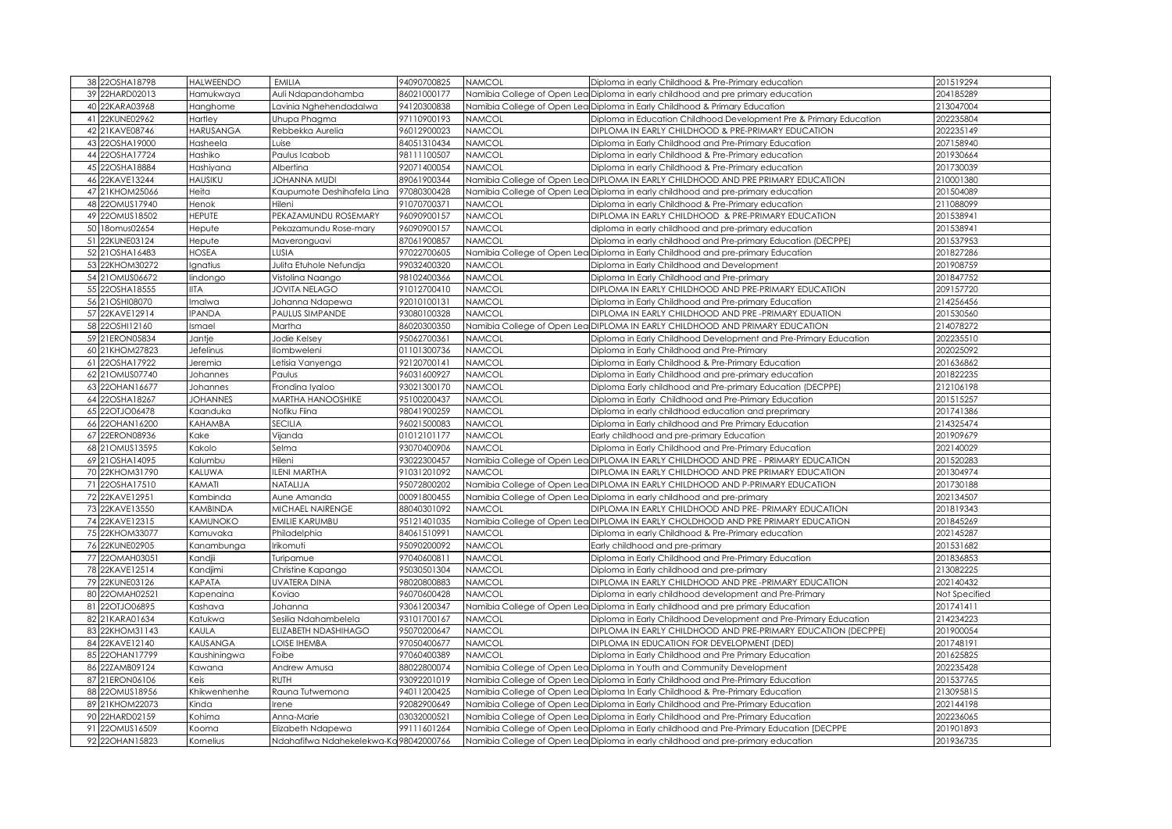|    | 38 22OSHA18798   | <b>HALWEENDO</b> | <b>EMILIA</b>                          | 94090700825 | <b>NAMCOL</b> | Diploma in early Childhood & Pre-Primary education                                       | 201519294     |
|----|------------------|------------------|----------------------------------------|-------------|---------------|------------------------------------------------------------------------------------------|---------------|
|    | 39 22HARD02013   | Hamukwaya        | Auli Ndapandohamba                     | 86021000177 |               | Namibia College of Open Lea Diploma in early childhood and pre primary education         | 204185289     |
|    | 40 22KARA03968   | Hanghome         | avinia Nghehendadalwa.                 | 94120300838 |               | Namibia College of Open Lea Diploma in Early Childhood & Primary Education               | 213047004     |
|    | 41 22KUNE02962   | Hartley          | Uhupa Phagma                           | 97110900193 | <b>NAMCOL</b> | Diploma in Education Childhood Development Pre & Primary Education                       | 202235804     |
|    | 42 21KAVE08746   | <b>HARUSANGA</b> | Rebbekka Aurelia                       | 96012900023 | <b>NAMCOL</b> | DIPLOMA IN EARLY CHILDHOOD & PRE-PRIMARY EDUCATION                                       | 202235149     |
|    | 43 22OSHA19000   | Hasheela         | Luise                                  | 34051310434 | <b>NAMCOL</b> | Diploma in Early Childhood and Pre-Primary Education                                     | 207158940     |
|    | 44 22OSHA17724   | Hashiko          | Paulus Icabob                          | 98111100507 | <b>NAMCOL</b> | Diploma in early Childhood & Pre-Primary education                                       | 201930664     |
|    | 45 22OSHA18884   | Hashiyana        | Albertina                              | 92071400054 | <b>NAMCOL</b> | Diploma in early Childhood & Pre-Primary education                                       | 201730039     |
| 46 | 22KAVE13244      | HAUSIKU          | <b>OHANNA MUDI</b>                     | 89061900344 |               | Namibia College of Open Lea DIPLOMA IN EARLY CHILDHOOD AND PRE PRIMARY EDUCATION         | 210001380     |
|    | 47 21KHOM25066   | Heita            | Kaupumote Deshihafela Lina             | 97080300428 |               | Namibia College of Open Lea Diploma in early childhood and pre-primary education         | 201504089     |
|    | 48 22OMUS17940   | Henok            | Hileni                                 | 91070700371 | <b>NAMCOL</b> | Diploma in early Childhood & Pre-Primary education                                       | 211088099     |
|    | 49 22OMUS18502   | <b>HEPUTE</b>    | PEKAZAMUNDU ROSEMARY                   | 96090900157 | <b>NAMCOL</b> | DIPLOMA IN EARLY CHILDHOOD & PRE-PRIMARY EDUCATION                                       | 201538941     |
|    | 50 18omus02654   | Hepute           | Pekazamundu Rose-mary                  | 96090900157 | <b>NAMCOL</b> | diploma in early childhood and pre-primary education                                     | 201538941     |
|    | 51 22KUNE03124   | Hepute           |                                        | 87061900857 | <b>NAMCOL</b> | Diploma in early childhood and Pre-primary Education (DECPPE)                            | 201537953     |
|    | 52 21 OSHA1 6483 | HOSEA            | Maveronguavi<br>LUSIA                  | 97022700605 |               |                                                                                          | 201827286     |
|    |                  |                  |                                        |             | <b>NAMCOL</b> | Namibia College of Open Lea Diploma in Early Childhood and pre-primary Education         |               |
|    | 53 22KHOM30272   | Ignatius         | Julita Etuhole Nefundja                | 99032400320 |               | Diploma in Early Childhood and Development                                               | 201908759     |
|    | 54 21 OMUS 06672 | lindongo         | Vistolina Naango                       | 98102400366 | <b>NAMCOL</b> | Diploma In Early Childhood and Pre-primary                                               | 201847752     |
|    | 55 22OSHA18555   | IITA             | JOVITA NELAGO                          | 91012700410 | <b>NAMCOL</b> | DIPLOMA IN EARLY CHILDHOOD AND PRE-PRIMARY EDUCATION                                     | 209157720     |
|    | 56 21 OSHI08070  | Imalwa           | Johanna Ndapewa                        | 92010100131 | <b>NAMCOL</b> | Diploma in Early Childhood and Pre-primary Education                                     | 214256456     |
|    | 57 22KAVE12914   | <b>IPANDA</b>    | PAULUS SIMPANDE                        | 93080100328 | <b>NAMCOL</b> | DIPLOMA IN EARLY CHILDHOOD AND PRE-PRIMARY EDUATION                                      | 201530560     |
|    | 58 22OSHI12160   | Ismael           | Martha                                 | 36020300350 |               | Namibia College of Open Lea DIPLOMA IN EARLY CHILDHOOD AND PRIMARY EDUCATION             | 214078272     |
|    | 59 21 ERON05834  | Jantje           | Jodie Kelsey                           | 95062700361 | <b>NAMCOL</b> | Diploma in Early Childhood Development and Pre-Primary Education                         | 202235510     |
|    | 60 21KHOM27823   | Jefelinus        | lombweleni                             | 01101300736 | <b>NAMCOL</b> | Diploma in Early Childhood and Pre-Primary                                               | 202025092     |
|    | 61 22OSHA17922   | Jeremia          | etisia Vanyenga.                       | 92120700141 | <b>NAMCOL</b> | Diploma in Early Childhood & Pre-Primary Education                                       | 201636862     |
|    | 62 21 OMUS07740  | Johannes         | Paulus                                 | 96031600927 | <b>NAMCOL</b> | Diploma in Early Childhood and pre-primary education                                     | 201822235     |
| 63 | 22OHAN16677      | Johannes         | Frondina Iyaloo                        | 93021300170 | <b>NAMCOL</b> | Diploma Early childhood and Pre-primary Education (DECPPE)                               | 212106198     |
|    | 64 22OSHA18267   | <b>JOHANNES</b>  | <b>MARTHA HANOOSHIKE</b>               | 95100200437 | <b>NAMCOL</b> | Diploma in Early Childhood and Pre-Primary Education                                     | 201515257     |
|    | 65 22OTJO06478   | Kaanduka         | Nofiku Fiina                           | 98041900259 | <b>NAMCOL</b> | Diploma in early childhood education and preprimary                                      | 201741386     |
|    | 66 22OHAN16200   | KAHAMBA          | SECILIA                                | 96021500083 | <b>NAMCOL</b> | Diploma in Early childhood and Pre Primary Education                                     | 214325474     |
|    | 67 22ERON08936   | Kake             | Vijanda                                | 01012101177 | <b>NAMCOL</b> | Early childhood and pre-primary Education                                                | 201909679     |
|    | 68 21 OMUS13595  | Kakolo           | Selma                                  | 93070400906 | <b>NAMCOL</b> | Diploma in Early Childhood and Pre-Primary Education                                     | 202140029     |
|    | 69 21 OSHA14095  | Kalumbu          | Hileni                                 | 93022300457 |               | Namibia College of Open Lea DIPLOMA IN EARLY CHILDHOOD AND PRE - PRIMARY EDUCATION       | 201520283     |
|    | 70 22KHOM31790   | KALUWA           | LENI MARTHA                            | 91031201092 | <b>NAMCOL</b> | DIPLOMA IN EARLY CHILDHOOD AND PRE PRIMARY EDUCATION                                     | 201304974     |
|    | 71 22OSHA17510   | KAMATI           | NATALIJA                               | 95072800202 |               | Namibia College of Open Lea DIPLOMA IN EARLY CHILDHOOD AND P-PRIMARY EDUCATION           | 201730188     |
|    | 72 22KAVE12951   | Kambinda         | Aune Amanda                            | 00091800455 |               | Namibia College of Open Lea Diploma in early childhood and pre-primary                   | 202134507     |
|    | 73 22KAVE13550   | KAMBINDA         | MICHAEL NAIRENGE                       | 88040301092 | <b>NAMCOL</b> | DIPLOMA IN EARLY CHILDHOOD AND PRE- PRIMARY EDUCATION                                    | 201819343     |
|    | 74 22KAVE12315   | KAMUNOKO         | <b>EMILIE KARUMBU</b>                  | 95121401035 |               | Namibia College of Open Lea DIPLOMA IN EARLY CHOLDHOOD AND PRE PRIMARY EDUCATION         | 201845269     |
|    | 75 22KHOM33077   | Kamuvaka         | Philadelphia                           | 34061510991 | <b>NAMCOL</b> | Diploma in early Childhood & Pre-Primary education                                       | 202145287     |
|    | 76 22KUNE02905   | Kanambunga       | <b>rikomuti</b>                        | 95090200092 | <b>NAMCOL</b> | Early childhood and pre-primary                                                          | 201531682     |
| 77 | 22OMAH03051      | Kandjii          | Turipamue                              | 97040600811 | <b>NAMCOL</b> | Diploma in Early Childhood and Pre-Primary Education                                     | 201836853     |
|    | 78 22KAVE12514   | Kandjimi         | Christine Kapango                      | 95030501304 | <b>NAMCOL</b> | Diploma in Early childhood and pre-primary                                               | 213082225     |
|    | 79 22KUNE03126   | KAPATA           | UVATERA DINA                           | 98020800883 | <b>NAMCOL</b> | DIPLOMA IN EARLY CHILDHOOD AND PRE-PRIMARY EDUCATION                                     | 202140432     |
|    | 80 22OMAH02521   | Kapenaina        | Koviao                                 | 96070600428 | <b>NAMCOL</b> | Diploma in early childhood development and Pre-Primary                                   | Not Specified |
|    | 81 22OTJO06895   | Kashava          | Johanna                                | 93061200347 |               | Namibia College of Open Lea Diploma in Early childhood and pre primary Education         | 201741411     |
|    | 82 21KARA01634   | Katukwa          | Sesilia Ndahambelela                   | 93101700167 | <b>NAMCOL</b> | Diploma in Early Childhood Development and Pre-Primary Education                         | 214234223     |
|    | 83 22KHOM31143   | KAULA            | ELIZABETH NDASHIHAGO                   | 95070200647 | <b>NAMCOL</b> | DIPLOMA IN EARLY CHILDHOOD AND PRE-PRIMARY EDUCATION (DECPPE)                            | 201900054     |
|    | 84 22KAVE12140   | KAUSANGA         | OISE IHEMBA                            | 97050400677 | <b>NAMCOL</b> | DIPLOMA IN EDUCATION FOR DEVELOPMENT (DED)                                               | 201748191     |
|    | 85 22OHAN17799   | Kaushiningwa     | Foibe                                  | 97060400389 | <b>NAMCOL</b> | Diploma in Early Childhood and Pre Primary Education                                     | 201625825     |
|    | 86 22ZAMB09124   | Kawana           | Andrew Amusa                           | 88022800074 |               | Namibia College of Open Lea Diploma in Youth and Community Development                   | 202235428     |
|    | 87 21 ERON06106  | Keis             | RUTH                                   | 93092201019 |               | Namibia College of Open Lea Diploma in Early Childhood and Pre-Primary Education         | 201537765     |
|    | 88 22OMUS18956   | Khikwenhenhe     | Rauna Tutwemona                        | 94011200425 |               | Namibia College of Open Lea Diploma In Early Childhood & Pre-Primary Education           | 213095815     |
|    | 89 21KHOM22073   | Kinda            | rene                                   | 92082900649 |               | Namibia College of Open Lea Diploma in Early Childhood and Pre-Primary Education         | 202144198     |
|    | 90 22HARD02159   | Kohima           | Anna-Marie                             | 03032000521 |               | Namibia College of Open Lea Diploma in Early Childhood and Pre-Primary Education         | 202236065     |
| 91 | 22OMUS16509      | Kooma            | Elizabeth Ndapewa                      | 99111601264 |               | Namibia College of Open Lea Diploma in Early childhood and Pre-Primary Education [DECPPE | 201901893     |
|    | 92 22OHAN15823   | Kornelius        | Ndahafifwa Ndahekelekwa-Ko 98042000766 |             |               | Namibia College of Open Lea Diploma in early childhood and pre-primary education         | 201936735     |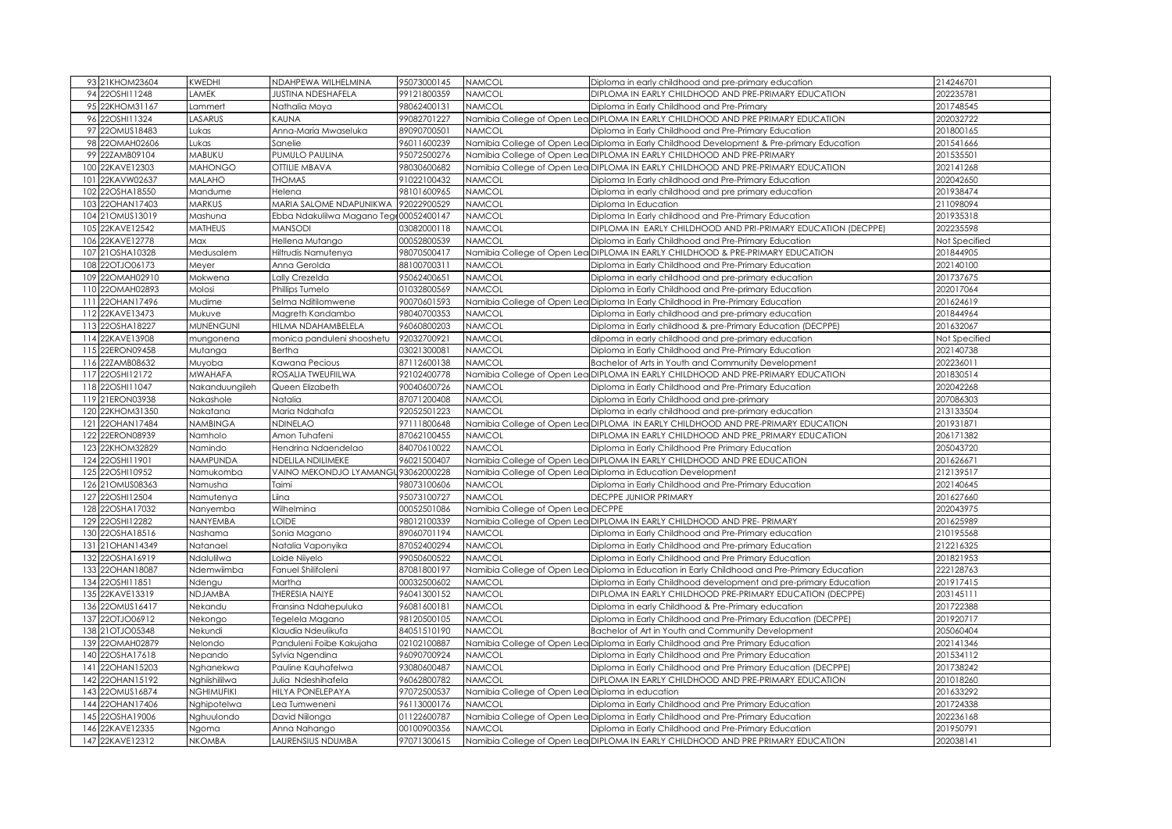|     | 93 21KHOM23604                   | KWEDHI           | NDAHPEWA WILHELMINA                   | 95073000145                | NAMCOL                                           | Diploma in early childhood and pre-primary education                                                                                                              | 214246701              |
|-----|----------------------------------|------------------|---------------------------------------|----------------------------|--------------------------------------------------|-------------------------------------------------------------------------------------------------------------------------------------------------------------------|------------------------|
|     | 94 22OSHI11248                   | LAMEK            | <b>JUSTINA NDESHAFELA</b>             | 99121800359                | NAMCOL                                           | DIPLOMA IN EARLY CHILDHOOD AND PRE-PRIMARY EDUCATION                                                                                                              | 202235781              |
|     | 95 22KHOM31167                   | Lammert          | Nathalia Moya                         | 98062400131                | NAMCOL                                           | Diploma in Early Childhood and Pre-Primary                                                                                                                        | 201748545              |
|     | 96 22OSHI11324                   | ASARUS           | <b>AUNA</b>                           | 99082701227                |                                                  | Vamibia College of Open Lea DIPLOMA IN EARLY CHILDHOOD AND PRE PRIMARY EDUCATION                                                                                  | 202032722              |
|     | 97 220MUS18483                   | Lukas            | Anna-Maria Mwaseluka                  | 89090700501                | NAMCOL                                           | Diploma in Early Childhood and Pre-Primary Education                                                                                                              | 201800165              |
|     | 98 22OMAH02606                   | Lukas            | Sanelie                               | 96011600239                |                                                  | Namibia College of Open Lea Diploma in Early Childhood Development & Pre-primary Education                                                                        | 201541666              |
|     | 99 22ZAMB09104                   | MABUKU           | PUMULO PAULINA                        | 95072500276                |                                                  | Vamibia College of Open Lea DIPLOMA IN EARLY CHILDHOOD AND PRE-PRIMARY                                                                                            | 201535501              |
| 100 | 22KAVE12303                      | <b>MAHONGO</b>   | OTTILIE MBAVA                         | 98030600682                |                                                  | Vamibia College of Open Lea DIPLOMA IN EARLY CHILDHOOD AND PRE-PRIMARY EDUCATION                                                                                  | 202141268              |
| 101 | 22KAVW02637                      | <b>MALAHO</b>    | <b>THOMAS</b>                         | 91022100432                | <b>VAMCOL</b>                                    | Diploma In Early childhood and Pre-Primary Education                                                                                                              | 202042650              |
| 102 | 22OSHA18550                      | Mandume          | Helena                                | 98101600965                | <b>VAMCOL</b>                                    | Diploma in early childhood and pre primary education                                                                                                              | 201938474              |
| 103 | 22OHAN17403                      | <b>MARKUS</b>    | MARIA SALOME NDAPUNIKWA               | 92022900529                | <b>VAMCOL</b>                                    | Diploma In Education                                                                                                                                              | 211098094              |
| 104 | 21OMUS13019                      | Mashuna          | Ebba Ndakulilwa Magano Tege           | 00052400147                | <b>VAMCOL</b>                                    | Diploma In Early childhood and Pre-Primary Education                                                                                                              | 201935318              |
| 105 | 22KAVE12542                      | MATHEUS          | <b>MANSODI</b>                        | 03082000118                | VAMCOL                                           | DIPLOMA IN EARLY CHILDHOOD AND PRI-PRIMARY EDUCATION (DECPPE)                                                                                                     | 202235598              |
| 106 | 22KAVE12778                      | Max              | Hellena Mutango                       | 00052800539                | <b>VAMCOL</b>                                    | Diploma in Early Childhood and Pre-Primary Education                                                                                                              | Not Specified          |
| 107 | 21OSHA10328                      | Medusalem        | Hiltrudis Namutenya                   | 98070500417                | Namibia College of Open Leo                      | DIPLOMA IN EARLY CHILDHOOD & PRE-PRIMARY EDUCATION                                                                                                                | 201844905              |
| 108 | 22OTJO06173                      | Meyer            | Anna Gerolda                          | 88100700311                | NAMCOL                                           | Diploma in Early Childhood and Pre-Primary Education                                                                                                              | 202140100              |
|     | 109 22OMAH02910                  | Mokwena          | Lally Crezelda                        | 95062400651                | NAMCOL                                           | Diploma in early childhood and pre-primary education                                                                                                              | 201737675              |
| 110 | 22OMAH02893                      | Molosi           | Phillips Tumelo                       | 01032800569                | <b>JAMCOL</b>                                    | Diploma in Early Childhood and Pre-primary Education                                                                                                              | 202017064              |
| 111 | 22OHAN17496                      | Mudime           | Selma Nditilomwene                    | 90070601593                |                                                  | Namibia College of Open Lea Diploma In Early Childhood in Pre-Primary Education                                                                                   | 201624619              |
| 112 | 22KAVE13473                      | Mukuve           | Magreth Kandambo                      | 98040700353                | NAMCOL                                           | Diploma in Early childhood and pre-primary education                                                                                                              | 201844964              |
|     | 113 22OSHA18227                  | <b>MUNENGUNI</b> | HILMA NDAHAMBELELA                    | 96060800203                | <b>VAMCOL</b>                                    | Diploma in Early childhood & pre-Primary Education (DECPPE)                                                                                                       | 201632067              |
|     | 114 22KAVE13908                  | mungonena        | monica panduleni shooshetu            | 92032700921                | <b>VAMCOL</b>                                    | dilpoma in early childhood and pre-primary education                                                                                                              | Not Specified          |
| 115 | 22ERON09458                      | Mutanga          | Bertha                                | 03021300081                | <b>VAMCOL</b>                                    | Diploma in Early Childhood and Pre-Primary Education                                                                                                              | 202140738              |
| 116 | 22ZAMB08632                      | Muyoba           | Kawana Pecious                        | 87112600138                | <b>VAMCOL</b>                                    | Bachelor of Arts in Youth and Community Development                                                                                                               | 202236011              |
|     | 117 22OSHI12172                  | <b>MWAHAFA</b>   | ROSALIA TWEUFIILWA                    | 92102400778                |                                                  | Namibia College of Open Lea DIPLOMA IN EARLY CHILDHOOD AND PRE-PRIMARY EDUCATION                                                                                  | 201830514              |
| 118 | 22OSHI11047                      | Nakanduungileh   | Queen Elizabeth                       | 90040600726                | <b>VAMCOL</b>                                    | Diploma in Early Childhood and Pre-Primary Education                                                                                                              | 202042268              |
|     | 119 21 ERON03938                 | Nakashole        | Natalia                               | 87071200408                | <b>VAMCOL</b>                                    | Diploma in Early Childhood and pre-primary                                                                                                                        | 207086303              |
| 120 | 22KHOM31350                      | Nakatana         | Maria Ndahafa                         | 92052501223                | <b>VAMCOL</b>                                    | Diploma in early childhood and pre-primary education                                                                                                              | 213133504              |
| 121 | 22OHAN17484                      | <b>VAMBINGA</b>  | NDINELAO                              | 97111800648                | Namibia College of Open Lec                      | DIPLOMA IN EARLY CHILDHOOD AND PRE-PRIMARY EDUCATION                                                                                                              | 201931871              |
| 122 | 22ERON08939                      | Namholo          | Amon Tuhafeni                         | 87062100455                | NAMCOL                                           | DIPLOMA IN EARLY CHILDHOOD AND PRE_PRIMARY EDUCATION                                                                                                              | 206171382              |
| 123 | 22KHOM32829                      | Namindo          | Hendrina Ndaendelao                   | 84070610022                | <b>VAMCOL</b>                                    | Diploma in Early Childhood Pre Primary Education                                                                                                                  | 205043720              |
| 124 | 22OSHI11901                      | NAMPUNDA         | NDELILA NDILIMEKE                     | 96021500407                |                                                  | Vamibia College of Open Lea DIPLOMA IN EARLY CHILDHOOD AND PRE EDUCATION                                                                                          | 201626671              |
| 125 | 22OSHI10952                      | Namukomba        | VAINO MEKONDJO LYAMANGI               | 93062000228                |                                                  | Namibia College of Open Lea Diploma in Education Development                                                                                                      | 212139517              |
| 126 | 21OMUS08363                      | Namusha          | Taimi                                 | 98073100606                | <b>NAMCOL</b>                                    | Diploma in Early Childhood and Pre-Primary Education                                                                                                              | 202140645              |
| 127 | 22OSHI12504                      | Namutenya        | Liina                                 | 95073100727                | <b>NAMCOL</b>                                    | <b>DECPPE JUNIOR PRIMARY</b>                                                                                                                                      | 201627660              |
| 128 | 22OSHA17032                      | Nanyemba         | Wilhelmina                            | 00052501086                | Vamibia College of Open Lea DECPPE               |                                                                                                                                                                   | 202043975              |
| 129 | 22OSHI12282                      | NANYEMBA         | <b>LOIDE</b>                          | 98012100339                |                                                  | Vamibia College of Open Lea DIPLOMA IN EARLY CHILDHOOD AND PRE- PRIMARY                                                                                           | 201625989              |
| 130 | 22OSHA18516                      | Nashama          | Sonia Magano                          | 89060701194                | VAMCOL                                           | Diploma in Early Childhood and Pre-Primary education                                                                                                              | 210195568              |
| 131 | 21OHAN14349                      | Natanael         | Natalia Vaponyika                     | 87052400294                | <b>NAMCOL</b>                                    | Diploma in Early Childhood and Pre-primary Education                                                                                                              | 212216325              |
| 132 | 22OSHA16919                      | Ndalulilwa       | Loide Niiyelo                         | 99050600522                | <b>VAMCOL</b>                                    | Diploma in Early Childhood and Pre Primary Education                                                                                                              | 201821953              |
|     | 133 22OHAN18087                  | Ndemwiimba       | Fanuel Shilifoleni                    | 87081800197                |                                                  |                                                                                                                                                                   | 222128763              |
|     | 134 22OSHI11851                  | Ndengu           | Martha                                | 00032500602                | <b>VAMCOL</b>                                    | Namibia College of Open Lea Diploma in Education in Early Childhood and Pre-Primary Education<br>Diploma in Early Childhood development and pre-primary Education | 201917415              |
| 135 | 22KAVE13319                      | NDJAMBA          | <b>THERESIA NAIYE</b>                 | 96041300152                | <b>JAMCOL</b>                                    | DIPLOMA IN EARLY CHILDHOOD PRE-PRIMARY EDUCATION (DECPPE)                                                                                                         | 203145111              |
| 136 | 22OMUS16417                      |                  |                                       |                            | VAMCOL                                           |                                                                                                                                                                   | 201722388              |
|     |                                  | Nekandu          | Fransina Ndahepuluka                  | 96081600181                |                                                  | Diploma in early Childhood & Pre-Primary education                                                                                                                |                        |
| 137 | 22OTJO06912<br>138 21 OT JO05348 | Nekongo          | Tegelela Magano<br>Klaudia Ndeulikufa | 98120500105<br>84051510190 | <b>VAMCOL</b><br><b>VAMCOL</b>                   | Diploma in Early Childhood and Pre-Primary Education (DECPPE)<br>Bachelor of Art in Youth and Community Development                                               | 201920717<br>205060404 |
|     |                                  | Nekundi          |                                       |                            |                                                  |                                                                                                                                                                   |                        |
| 140 | 139 22OMAH02879                  | Nelondo          | Panduleni Foibe Kakujaha              | 02102100887                |                                                  | Namibia College of Open Lea Diploma in Early Childhood and Pre Primary Education                                                                                  | 202141346<br>201534112 |
|     | 22OSHA17618                      | Nepando          | Sylvia Ngendina                       | 96090700924                | NAMCOL                                           | Diploma in Early Childhood and Pre Primary Education                                                                                                              |                        |
| 141 | 22OHAN15203                      | Nghanekwa        | Pauline Kauhafelwa                    | 93080600487                | NAMCOL                                           | Diploma in Early Childhood and Pre Primary Education (DECPPE)                                                                                                     | 201738242              |
| 142 | 22OHAN15192                      | Nghiishililwa    | Julia Ndeshihafela                    | 96062800782                | <b>VAMCOL</b>                                    | DIPLOMA IN EARLY CHILDHOOD AND PRE-PRIMARY EDUCATION                                                                                                              | 201018260              |
| 143 | 22OMUS16874                      | NGHIMUFIKI       | HILYA PONELEPAYA                      | 97072500537                | Namibia College of Open Lea Diploma in education |                                                                                                                                                                   | 201633292              |
|     | 144 22OHAN17406                  | Nghipotelwa      | Lea Tumweneni                         | 96113000176                | <b>NAMCOL</b>                                    | Diploma in Early Childhood and Pre Primary Education                                                                                                              | 201724338              |
| 145 | 22OSHA19006                      | Nghuulondo       | David Niilonga                        | 01122600787                |                                                  | Namibia College of Open Lea Diploma in Early Childhood and Pre-Primary Education                                                                                  | 202236168              |
| 146 | 22KAVE12335                      | Ngoma            | Anna Nahango                          | 00100900356                | VAMCOL                                           | Diploma in Early Childhood and Pre-Primary Education                                                                                                              | 201950791              |
|     | 147 22KAVE12312                  | <b>NKOMBA</b>    | LAURENSIUS NDUMBA                     | 97071300615                |                                                  | Namibia College of Open Lea DIPLOMA IN EARLY CHILDHOOD AND PRE PRIMARY EDUCATION                                                                                  | 202038141              |